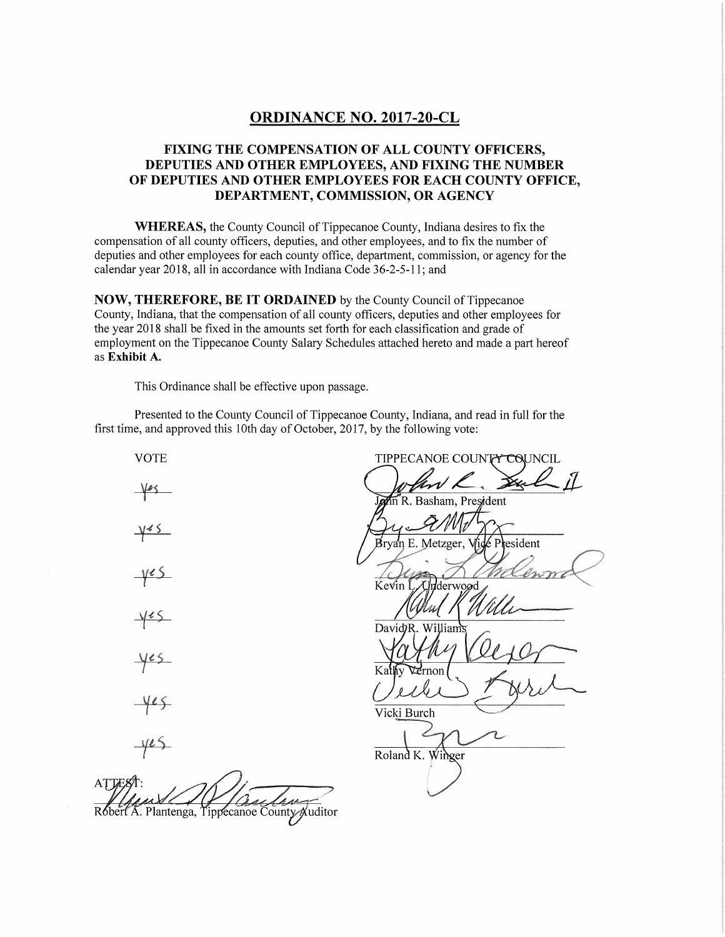#### **ORDINANCE NO. 2017-20-CL**

### **FIXING THE COMPENSATION OF ALL COUNTY OFFICERS, DEPUTIES AND OTHER EMPLOYEES, AND FIXING THE NUMBER OF DEPUTIES AND OTHER EMPLOYEES FOR EACH COUNTY OFFICE, DEPARTMENT, COMMISSION, OR AGENCY**

WHEREAS, the County Council of Tippecanoe County, Indiana desires to fix the compensation of all county officers, deputies, and other employees, and to fix the number of deputies and other employees for each county office, department, commission, or agency for the calendar year 2018, all in accordance with Indiana Code 36-2-5-11; and

**NOW, THEREFORE, BE IT ORDAINED** by the County Council of Tippecanoe County, Indiana, that the compensation of all county officers, deputies and other employees for the year 2018 shall be fixed in the amounts set forth for each classification and grade of employment on the Tippecanoe County Salary Schedules attached hereto and made a part hereof as **Exhibit A.** 

This Ordinance shall be effective upon passage.

Presented to the County Council of Tippecanoe County, Indiana, and read in full for the first time, and approved this 10th day of October, 2017, by the following vote:

VOTE TIPPECANOE COUNTY COUNCIL n<sup>'</sup>R. Basham, President esident Brvan E. Metzger.  $y \in S$ Kevin Underwood David<sub>2</sub>R. William  $405$ rnon Vicki Burch  $4e5$ Roland K. Winger **ATTES** Robert A. Plantenga, Tippecanoe County Auditor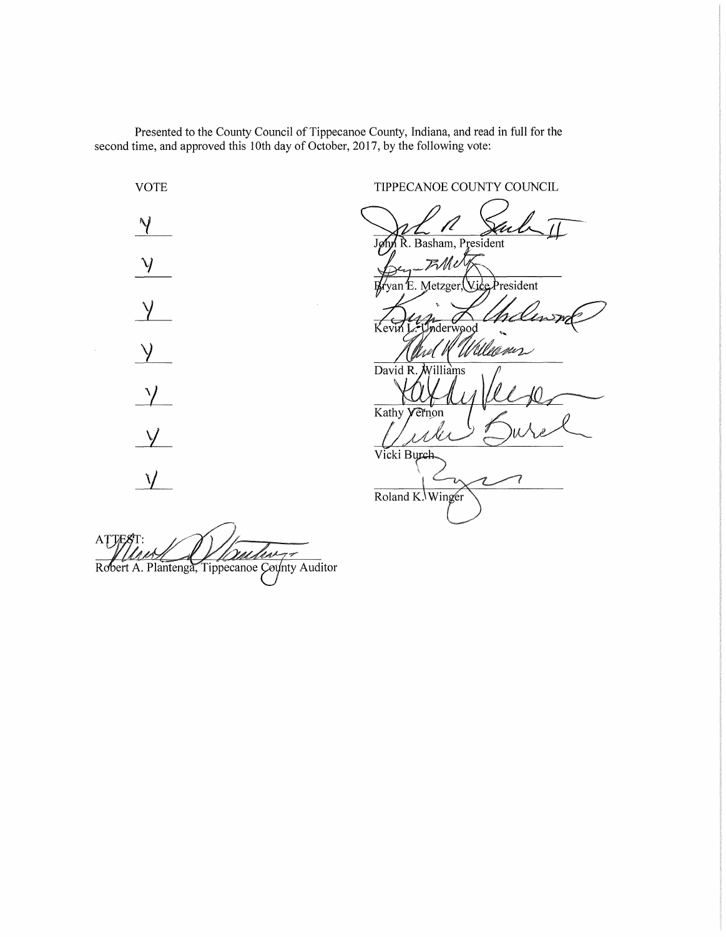Presented to the County Council of Tippecanoe County, Indiana, and read in full for the second time, and approved this 10th day of October, 2017, by the following vote:

VOTE TIPPECANOE COUNTY COUNCIL  $\gamma$ R. Basham, President  $\mathcal{Y}$ Fille President Metzger  $\vee$  $\frac{1}{2}$ 'allegser David R illiams  $\frac{v}{c}$ Kathy  $\vee$ Vicki Burch  $\sqrt{ }$ Roland K. Winger

ATTE mehre Robert A. Plantenga, Tippecanoe County Auditor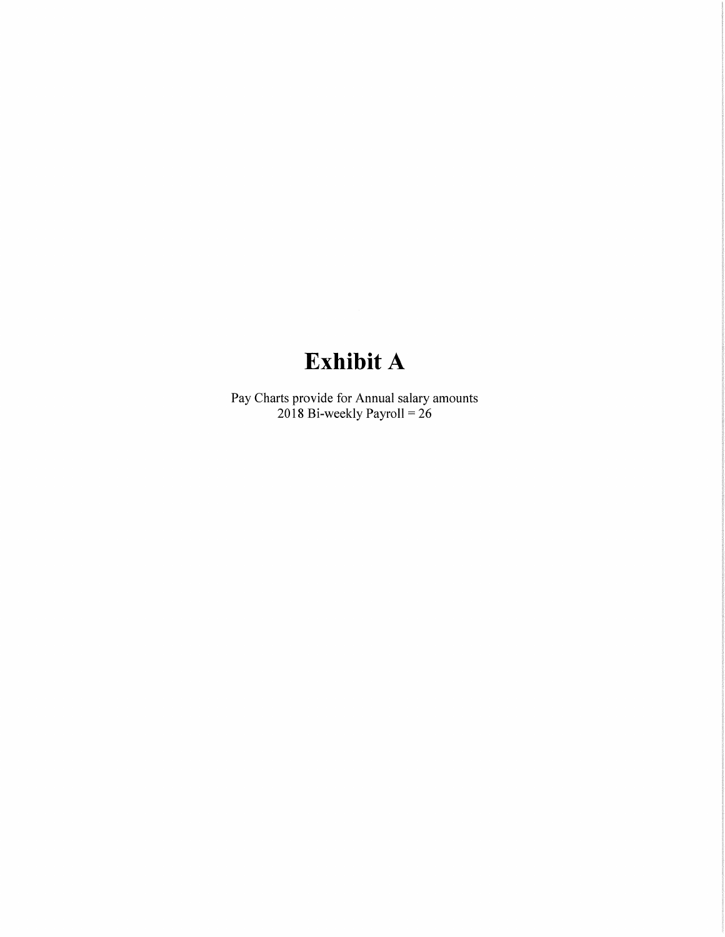# **Exhibit A**

Pay Charts provide for Annual salary amounts 2018 Bi-weekly Payroll= 26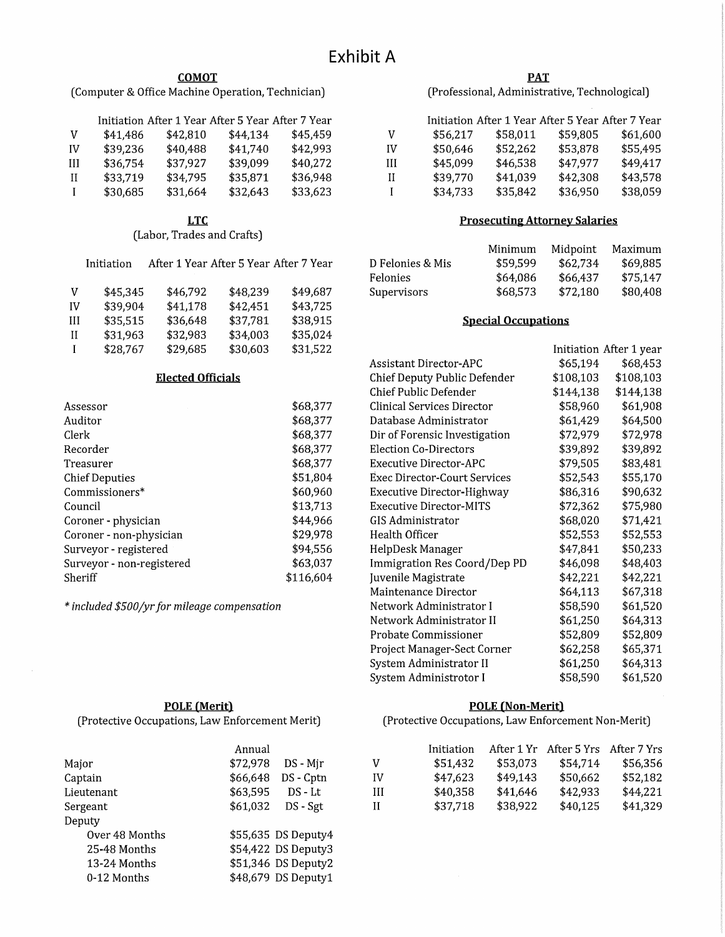#### **COMOT**

(Computer & Office Machine Operation, Technician)

|    |          |          | Initiation After 1 Year After 5 Year After 7 Year |          |
|----|----------|----------|---------------------------------------------------|----------|
| V  | \$41,486 | \$42,810 | \$44.134                                          | \$45.459 |
| IV | \$39,236 | \$40,488 | \$41.740                                          | \$42,993 |
| Ш  | \$36,754 | \$37,927 | \$39,099                                          | \$40.272 |
| Н  | \$33,719 | \$34.795 | \$35,871                                          | \$36,948 |
| I  | \$30,685 | \$31,664 | \$32,643                                          | \$33.623 |

#### **LTC**

(Labor, Trades and Crafts)

|    | Initiation | After 1 Year After 5 Year After 7 Year |          |          |
|----|------------|----------------------------------------|----------|----------|
| v  | \$45,345   | \$46,792                               | \$48,239 | \$49,687 |
| IV | \$39,904   | \$41,178                               | \$42,451 | \$43,725 |
| Ш  | \$35,515   | \$36,648                               | \$37,781 | \$38,915 |
| Н  | \$31,963   | \$32,983                               | \$34,003 | \$35,024 |
| I  | \$28,767   | \$29,685                               | \$30,603 | \$31,522 |

#### **Elected Officials**

| Assessor                  | \$68,377  |
|---------------------------|-----------|
| Auditor                   | \$68,377  |
| Clerk                     | \$68,377  |
| Recorder                  | \$68,377  |
| Treasurer                 | \$68,377  |
| <b>Chief Deputies</b>     | \$51,804  |
| Commissioners*            | \$60,960  |
| Council                   | \$13,713  |
| Coroner - physician       | \$44,966  |
| Coroner - non-physician   | \$29,978  |
| Surveyor - registered     | \$94,556  |
| Surveyor - non-registered | \$63,037  |
| Sheriff                   | \$116,604 |

*\*included \$500/yr for mileage compensation* 

#### **PAT**

(Professional, Administrative, Technological)

|    |          |          | Initiation After 1 Year After 5 Year After 7 Year |          |
|----|----------|----------|---------------------------------------------------|----------|
| v  | \$56,217 | \$58,011 | \$59,805                                          | \$61,600 |
| IV | \$50,646 | \$52,262 | \$53,878                                          | \$55,495 |
| Ш  | \$45,099 | \$46,538 | \$47,977                                          | \$49,417 |
| Н  | \$39,770 | \$41,039 | \$42,308                                          | \$43,578 |
|    | \$34,733 | \$35,842 | \$36,950                                          | \$38,059 |

#### **Prosecuting Attorney Salaries**

|                  | Minimum  | Midpoint | Maximum  |
|------------------|----------|----------|----------|
| D Felonies & Mis | \$59,599 | \$62.734 | \$69.885 |
| Felonies         | \$64.086 | \$66.437 | \$75.147 |
| Supervisors      | \$68,573 | \$72,180 | \$80,408 |

#### **Special Occupations**

|                                |           | Initiation After 1 year |
|--------------------------------|-----------|-------------------------|
| Assistant Director-APC         | \$65,194  | \$68,453                |
| Chief Deputy Public Defender   | \$108,103 | \$108,103               |
| Chief Public Defender          | \$144,138 | \$144,138               |
| Clinical Services Director     | \$58,960  | \$61,908                |
| Database Administrator         | \$61,429  | \$64,500                |
| Dir of Forensic Investigation  | \$72,979  | \$72,978                |
| <b>Election Co-Directors</b>   | \$39,892  | \$39,892                |
| Executive Director-APC         | \$79,505  | \$83,481                |
| Exec Director-Court Services   | \$52,543  | \$55,170                |
| Executive Director-Highway     | \$86,316  | \$90,632                |
| <b>Executive Director-MITS</b> | \$72,362  | \$75,980                |
| GIS Administrator              | \$68,020  | \$71,421                |
| Health Officer                 | \$52,553  | \$52,553                |
| HelpDesk Manager               | \$47,841  | \$50,233                |
| Immigration Res Coord/Dep PD   | \$46,098  | \$48,403                |
| Juvenile Magistrate            | \$42,221  | \$42,221                |
| Maintenance Director           | \$64,113  | \$67,318                |
| Network Administrator I        | \$58,590  | \$61,520                |
| Network Administrator II       | \$61,250  | \$64,313                |
| Probate Commissioner           | \$52,809  | \$52,809                |
| Project Manager-Sect Corner    | \$62,258  | \$65,371                |
| System Administrator II        | \$61,250  | \$64,313                |
| System Administrotor I         | \$58,590  | \$61,520                |

#### **POLE (Non-Merit)**

(Protective Occupations, Law Enforcement Non-Merit)

| ual |                 |    | Initiation |          | After 1 Yr After 5 Yrs After 7 Yrs |          |
|-----|-----------------|----|------------|----------|------------------------------------|----------|
| 78  | DS - Mir        | V  | \$51,432   | \$53.073 | \$54.714                           | \$56,356 |
|     | 48 DS-Cptn      | IV | \$47,623   | \$49,143 | \$50,662                           | \$52,182 |
| 95  | $DS - Lt$       | Ш  | \$40,358   | \$41,646 | \$42,933                           | \$44,221 |
|     | 32 DS - Sgt     | П  | \$37,718   | \$38,922 | \$40,125                           | \$41,329 |
|     |                 |    |            |          |                                    |          |
|     | $35$ DS Denutra |    |            |          |                                    |          |

### **POLE (Merit)**

(Protective Occupations, Law Enforcement Merit)

|                | Annual   |                     |
|----------------|----------|---------------------|
| Major          | \$72,978 | DS - Mjr            |
| Captain        | \$66,648 | DS - Cptn           |
| Lieutenant     | \$63,595 | $DS - Lt$           |
| Sergeant       | \$61,032 | DS - Sgt            |
| Deputy         |          |                     |
| Over 48 Months |          | \$55,635 DS Deputy4 |
| 25-48 Months   |          | \$54,422 DS Deputy3 |
| 13-24 Months   |          | \$51,346 DS Deputy2 |
| 0-12 Months    |          | \$48,679 DS Deputy1 |